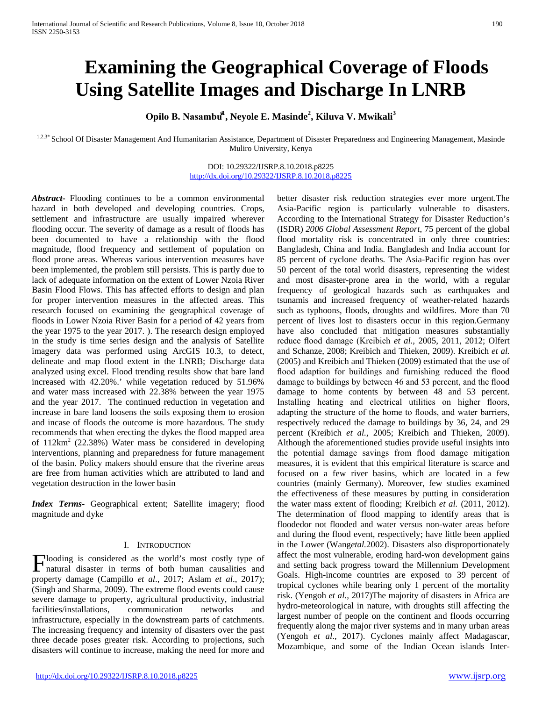# **Examining the Geographical Coverage of Floods Using Satellite Images and Discharge In LNRB**

**Opilo B. Nasambu⃰<sup>1</sup> , Neyole E. Masinde2 , Kiluva V. Mwikali<sup>3</sup>**

1,2,3\* School Of Disaster Management And Humanitarian Assistance, Department of Disaster Preparedness and Engineering Management, Masinde Muliro University, Kenya

> DOI: 10.29322/IJSRP.8.10.2018.p8225 <http://dx.doi.org/10.29322/IJSRP.8.10.2018.p8225>

*Abstract***-** Flooding continues to be a common environmental hazard in both developed and developing countries. Crops, settlement and infrastructure are usually impaired wherever flooding occur. The severity of damage as a result of floods has been documented to have a relationship with the flood magnitude, flood frequency and settlement of population on flood prone areas. Whereas various intervention measures have been implemented, the problem still persists. This is partly due to lack of adequate information on the extent of Lower Nzoia River Basin Flood Flows. This has affected efforts to design and plan for proper intervention measures in the affected areas. This research focused on examining the geographical coverage of floods in Lower Nzoia River Basin for a period of 42 years from the year 1975 to the year 2017. ). The research design employed in the study is time series design and the analysis of Satellite imagery data was performed using ArcGIS 10.3, to detect, delineate and map flood extent in the LNRB; Discharge data analyzed using excel. Flood trending results show that bare land increased with 42.20%.' while vegetation reduced by 51.96% and water mass increased with 22.38% between the year 1975 and the year 2017. The continued reduction in vegetation and increase in bare land loosens the soils exposing them to erosion and incase of floods the outcome is more hazardous. The study recommends that when erecting the dykes the flood mapped area of  $112 \text{km}^2$  (22.38%) Water mass be considered in developing interventions, planning and preparedness for future management of the basin. Policy makers should ensure that the riverine areas are free from human activities which are attributed to land and vegetation destruction in the lower basin

*Index Terms*- Geographical extent; Satellite imagery; flood magnitude and dyke

## I. INTRODUCTION

looding is considered as the world's most costly type of Flooding is considered as the world's most costly type of natural disaster in terms of both human causalities and  $\frac{1}{2}$ property damage (Campillo *et al*., 2017; Aslam *et al*., 2017); (Singh and Sharma, 2009). The extreme flood events could cause severe damage to property, agricultural productivity, industrial facilities/installations, communication networks and infrastructure, especially in the downstream parts of catchments. The increasing frequency and intensity of disasters over the past three decade poses greater risk. According to projections, such disasters will continue to increase, making the need for more and

better disaster risk reduction strategies ever more urgent.The Asia-Pacific region is particularly vulnerable to disasters. According to the International Strategy for Disaster Reduction's (ISDR) *2006 Global Assessment Report*, 75 percent of the global flood mortality risk is concentrated in only three countries: Bangladesh, China and India. Bangladesh and India account for 85 percent of cyclone deaths. The Asia-Pacific region has over 50 percent of the total world disasters, representing the widest and most disaster-prone area in the world, with a regular frequency of geological hazards such as earthquakes and tsunamis and increased frequency of weather-related hazards such as typhoons, floods, droughts and wildfires. More than 70 percent of lives lost to disasters occur in this region.Germany have also concluded that mitigation measures substantially reduce flood damage (Kreibich *et al.,* 2005, 2011, 2012; Olfert and Schanze, 2008; Kreibich and Thieken, 2009). Kreibich *et al.* (2005) and Kreibich and Thieken (2009) estimated that the use of flood adaption for buildings and furnishing reduced the flood damage to buildings by between 46 and 53 percent, and the flood damage to home contents by between 48 and 53 percent. Installing heating and electrical utilities on higher floors, adapting the structure of the home to floods, and water barriers, respectively reduced the damage to buildings by 36, 24, and 29 percent (Kreibich *et al.,* 2005; Kreibich and Thieken, 2009). Although the aforementioned studies provide useful insights into the potential damage savings from flood damage mitigation measures, it is evident that this empirical literature is scarce and focused on a few river basins, which are located in a few countries (mainly Germany). Moreover, few studies examined the effectiveness of these measures by putting in consideration the water mass extent of flooding; Kreibich *et al.* (2011, 2012). The determination of flood mapping to identify areas that is floodedor not flooded and water versus non-water areas before and during the flood event, respectively; have little been applied in the Lower (Wang*etal.*2002). Disasters also disproportionately affect the most vulnerable, eroding hard-won development gains and setting back progress toward the Millennium Development Goals. High-income countries are exposed to 39 percent of tropical cyclones while bearing only 1 percent of the mortality risk. (Yengoh *et al.,* 2017)The majority of disasters in Africa are hydro-meteorological in nature, with droughts still affecting the largest number of people on the continent and floods occurring frequently along the major river systems and in many urban areas (Yengoh *et al*., 2017). Cyclones mainly affect Madagascar, Mozambique, and some of the Indian Ocean islands Inter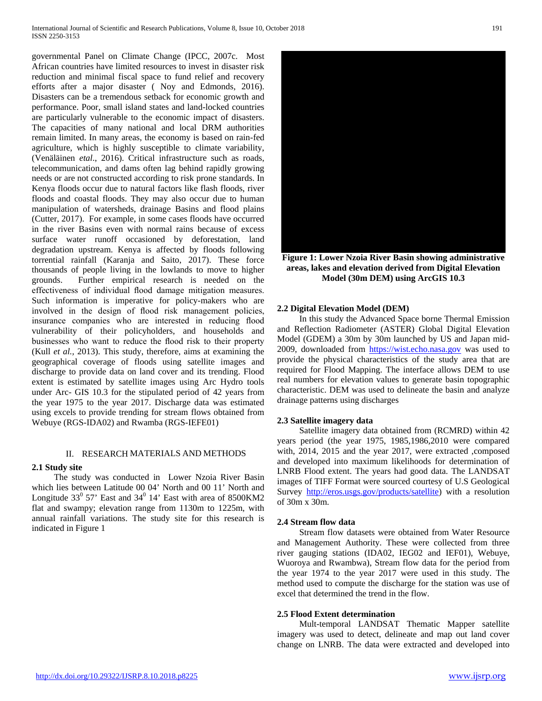governmental Panel on Climate Change (IPCC, 2007c. Most African countries have limited resources to invest in disaster risk reduction and minimal fiscal space to fund relief and recovery efforts after a major disaster ( Noy and Edmonds, 2016). Disasters can be a tremendous setback for economic growth and performance. Poor, small island states and land-locked countries are particularly vulnerable to the economic impact of disasters. The capacities of many national and local DRM authorities remain limited. In many areas, the economy is based on rain-fed agriculture, which is highly susceptible to climate variability, (Venäläinen *etal*., 2016). Critical infrastructure such as roads, telecommunication, and dams often lag behind rapidly growing needs or are not constructed according to risk prone standards. In Kenya floods occur due to natural factors like flash floods, river floods and coastal floods. They may also occur due to human manipulation of watersheds, drainage Basins and flood plains (Cutter, 2017). For example, in some cases floods have occurred in the river Basins even with normal rains because of excess surface water runoff occasioned by deforestation, land degradation upstream. Kenya is affected by floods following torrential rainfall (Karanja and Saito, 2017). These force thousands of people living in the lowlands to move to higher grounds. Further empirical research is needed on the effectiveness of individual flood damage mitigation measures. Such information is imperative for policy-makers who are involved in the design of flood risk management policies, insurance companies who are interested in reducing flood vulnerability of their policyholders, and households and businesses who want to reduce the flood risk to their property (Kull *et al.,* 2013). This study, therefore, aims at examining the geographical coverage of floods using satellite images and discharge to provide data on land cover and its trending. Flood extent is estimated by satellite images using Arc Hydro tools under Arc- GIS 10.3 for the stipulated period of 42 years from the year 1975 to the year 2017. Discharge data was estimated using excels to provide trending for stream flows obtained from Webuye (RGS-IDA02) and Rwamba (RGS-IEFE01)

# II. RESEARCH MATERIALS AND METHODS

## **2.1 Study site**

 The study was conducted in Lower Nzoia River Basin which lies between Latitude 00 04' North and 00 11' North and Longitude  $33^0$  57' East and  $34^0$  14' East with area of 8500KM2 flat and swampy; elevation range from 1130m to 1225m, with annual rainfall variations. The study site for this research is indicated in Figure 1



**Figure 1: Lower Nzoia River Basin showing administrative areas, lakes and elevation derived from Digital Elevation Model (30m DEM) using ArcGIS 10.3**

#### **2.2 Digital Elevation Model (DEM)**

 In this study the Advanced Space borne Thermal Emission and Reflection Radiometer (ASTER) Global Digital Elevation Model (GDEM) a 30m by 30m launched by US and Japan mid-2009, downloaded from [https://wist.echo.nasa.gov](https://wist.echo.nasa.gov/) was used to provide the physical characteristics of the study area that are required for Flood Mapping. The interface allows DEM to use real numbers for elevation values to generate basin topographic characteristic. DEM was used to delineate the basin and analyze drainage patterns using discharges

#### **2.3 Satellite imagery data**

 Satellite imagery data obtained from (RCMRD) within 42 years period (the year 1975, 1985,1986,2010 were compared with, 2014, 2015 and the year 2017, were extracted ,composed and developed into maximum likelihoods for determination of LNRB Flood extent. The years had good data. The LANDSAT images of TIFF Format were sourced courtesy of U.S Geological Survey [http://eros.usgs.gov/products/satellite\)](http://eros.usgs.gov/products/satellite) with a resolution of 30m x 30m.

## **2.4 Stream flow data**

 Stream flow datasets were obtained from Water Resource and Management Authority. These were collected from three river gauging stations (IDA02, IEG02 and IEF01), Webuye, Wuoroya and Rwambwa), Stream flow data for the period from the year 1974 to the year 2017 were used in this study. The method used to compute the discharge for the station was use of excel that determined the trend in the flow.

#### **2.5 Flood Extent determination**

 Mult-temporal LANDSAT Thematic Mapper satellite imagery was used to detect, delineate and map out land cover change on LNRB. The data were extracted and developed into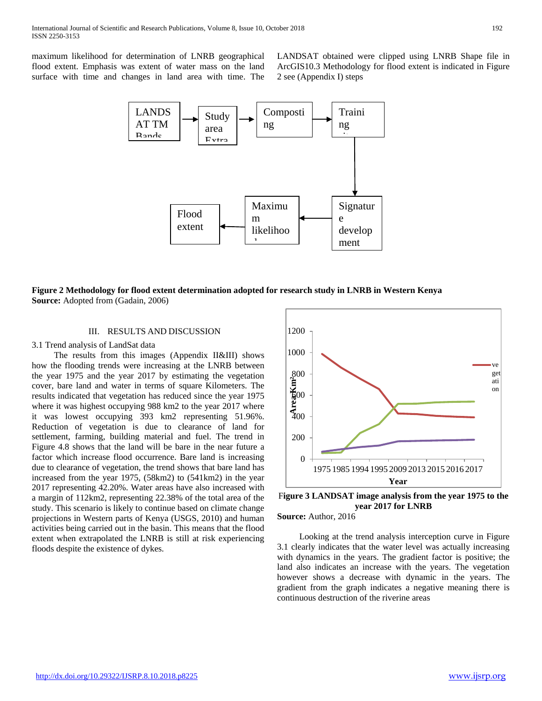maximum likelihood for determination of LNRB geographical flood extent. Emphasis was extent of water mass on the land surface with time and changes in land area with time. The

LANDSAT obtained were clipped using LNRB Shape file in ArcGIS10.3 Methodology for flood extent is indicated in Figure 2 see (Appendix I) steps



## **Figure 2 Methodology for flood extent determination adopted for research study in LNRB in Western Kenya Source:** Adopted from (Gadain, 2006)

### III. RESULTS AND DISCUSSION

## 3.1 Trend analysis of LandSat data

 The results from this images (Appendix II&III) shows how the flooding trends were increasing at the LNRB between the year 1975 and the year 2017 by estimating the vegetation cover, bare land and water in terms of square Kilometers. The results indicated that vegetation has reduced since the year 1975 where it was highest occupying 988 km2 to the year 2017 where it was lowest occupying 393 km2 representing 51.96%. Reduction of vegetation is due to clearance of land for settlement, farming, building material and fuel. The trend in Figure 4.8 shows that the land will be bare in the near future a factor which increase flood occurrence. Bare land is increasing due to clearance of vegetation, the trend shows that bare land has increased from the year 1975, (58km2) to (541km2) in the year 2017 representing 42.20%. Water areas have also increased with a margin of 112km2, representing 22.38% of the total area of the study. This scenario is likely to continue based on climate change projections in Western parts of Kenya (USGS, 2010) and human activities being carried out in the basin. This means that the flood extent when extrapolated the LNRB is still at risk experiencing floods despite the existence of dykes.



F**igure 3 LANDSAT image analysis from the year 1975 to the year 2017 for LNRB**

**Source:** Author, 2016

 Looking at the trend analysis interception curve in Figure 3.1 clearly indicates that the water level was actually increasing with dynamics in the years. The gradient factor is positive; the land also indicates an increase with the years. The vegetation however shows a decrease with dynamic in the years. The gradient from the graph indicates a negative meaning there is continuous destruction of the riverine areas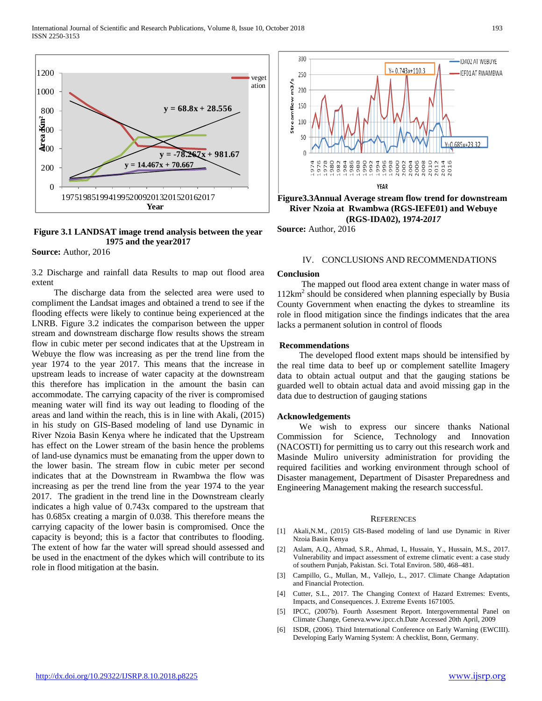



**Source:** Author, 2016

3.2 Discharge and rainfall data Results to map out flood area extent

 The discharge data from the selected area were used to compliment the Landsat images and obtained a trend to see if the flooding effects were likely to continue being experienced at the LNRB. Figure 3.2 indicates the comparison between the upper stream and downstream discharge flow results shows the stream flow in cubic meter per second indicates that at the Upstream in Webuye the flow was increasing as per the trend line from the year 1974 to the year 2017. This means that the increase in upstream leads to increase of water capacity at the downstream this therefore has implication in the amount the basin can accommodate. The carrying capacity of the river is compromised meaning water will find its way out leading to flooding of the areas and land within the reach, this is in line with Akali, (2015) in his study on GIS-Based modeling of land use Dynamic in River Nzoia Basin Kenya where he indicated that the Upstream has effect on the Lower stream of the basin hence the problems of land-use dynamics must be emanating from the upper down to the lower basin. The stream flow in cubic meter per second indicates that at the Downstream in Rwambwa the flow was increasing as per the trend line from the year 1974 to the year 2017. The gradient in the trend line in the Downstream clearly indicates a high value of 0.743x compared to the upstream that has 0.685x creating a margin of 0.038. This therefore means the carrying capacity of the lower basin is compromised. Once the capacity is beyond; this is a factor that contributes to flooding. The extent of how far the water will spread should assessed and be used in the enactment of the dykes which will contribute to its role in flood mitigation at the basin.



**(RGS-IDA02), 1974**‐**2***017*

**Source:** Author, 2016

#### IV. CONCLUSIONS AND RECOMMENDATIONS

#### **Conclusion**

 The mapped out flood area extent change in water mass of  $112km^2$  should be considered when planning especially by Busia County Government when enacting the dykes to streamline its role in flood mitigation since the findings indicates that the area lacks a permanent solution in control of floods

#### **Recommendations**

 The developed flood extent maps should be intensified by the real time data to beef up or complement satellite Imagery data to obtain actual output and that the gauging stations be guarded well to obtain actual data and avoid missing gap in the data due to destruction of gauging stations

#### **Acknowledgements**

 We wish to express our sincere thanks National Commission for Science, Technology and Innovation (NACOSTI) for permitting us to carry out this research work and Masinde Muliro university administration for providing the required facilities and working environment through school of Disaster management, Department of Disaster Preparedness and Engineering Management making the research successful.

#### **REFERENCES**

- [1] Akali,N.M., (2015) GIS-Based modeling of land use Dynamic in River Nzoia Basin Kenya
- [2] Aslam, A.Q., Ahmad, S.R., Ahmad, I., Hussain, Y., Hussain, M.S., 2017. Vulnerability and impact assessment of extreme climatic event: a case study of southern Punjab, Pakistan. Sci. Total Environ. 580, 468–481.
- [3] Campillo, G., Mullan, M., Vallejo, L., 2017. Climate Change Adaptation and Financial Protection.
- [4] Cutter, S.L., 2017. The Changing Context of Hazard Extremes: Events, Impacts, and Consequences. J. Extreme Events 1671005.
- [5] IPCC, (2007b). Fourth Assesment Report. Intergovernmental Panel on Climate Change, Geneva.www.ipcc.ch.Date Accessed 20th April, 2009
- [6] ISDR, (2006). Third International Conference on Early Warning (EWCIII). Developing Early Warning System: A checklist, Bonn, Germany.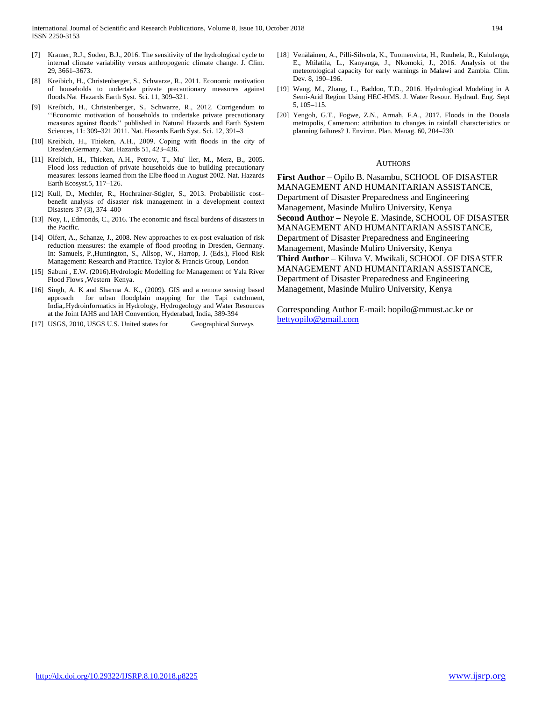- [7] Kramer, R.J., Soden, B.J., 2016. The sensitivity of the hydrological cycle to internal climate variability versus anthropogenic climate change. J. Clim. 29, 3661–3673.
- [8] Kreibich, H., Christenberger, S., Schwarze, R., 2011. Economic motivation of households to undertake private precautionary measures against floods.Nat Hazards Earth Syst. Sci. 11, 309–321.
- [9] Kreibich, H., Christenberger, S., Schwarze, R., 2012. Corrigendum to ''Economic motivation of households to undertake private precautionary measures against floods'' published in Natural Hazards and Earth System Sciences, 11: 309–321 2011. Nat. Hazards Earth Syst. Sci. 12, 391–3
- [10] Kreibich, H., Thieken, A.H., 2009. Coping with floods in the city of Dresden,Germany. Nat. Hazards 51, 423–436.
- [11] Kreibich, H., Thieken, A.H., Petrow, T., Mu¨ ller, M., Merz, B., 2005. Flood loss reduction of private households due to building precautionary measures: lessons learned from the Elbe flood in August 2002. Nat. Hazards Earth Ecosyst.5, 117–126.
- [12] Kull, D., Mechler, R., Hochrainer-Stigler, S., 2013. Probabilistic cost– benefit analysis of disaster risk management in a development context Disasters 37 (3), 374–400
- [13] Noy, I., Edmonds, C., 2016. The economic and fiscal burdens of disasters in the Pacific.
- [14] Olfert, A., Schanze, J., 2008. New approaches to ex-post evaluation of risk reduction measures: the example of flood proofing in Dresden, Germany. In: Samuels, P.,Huntington, S., Allsop, W., Harrop, J. (Eds.), Flood Risk Management: Research and Practice. Taylor & Francis Group, London
- [15] Sabuni , E.W. (2016). Hydrologic Modelling for Management of Yala River Flood Flows ,Western Kenya.
- [16] Singh, A. K and Sharma A. K., (2009). GIS and a remote sensing based approach for urban floodplain mapping for the Tapi catchment, India,.Hydroinformatics in Hydrology, Hydrogeology and Water Resources at the Joint IAHS and IAH Convention, Hyderabad, India, 389-394

[17] USGS, 2010, USGS U.S. United states for Geographical Surveys

- [18] Venäläinen, A., Pilli-Sihvola, K., Tuomenvirta, H., Ruuhela, R., Kululanga, E., Mtilatila, L., Kanyanga, J., Nkomoki, J., 2016. Analysis of the meteorological capacity for early warnings in Malawi and Zambia. Clim. Dev. 8, 190–196.
- [19] Wang, M., Zhang, L., Baddoo, T.D., 2016. Hydrological Modeling in A Semi-Arid Region Using HEC-HMS. J. Water Resour. Hydraul. Eng. Sept 5, 105–115.
- [20] Yengoh, G.T., Fogwe, Z.N., Armah, F.A., 2017. Floods in the Douala metropolis, Cameroon: attribution to changes in rainfall characteristics or planning failures? J. Environ. Plan. Manag. 60, 204–230.

#### **AUTHORS**

**First Author** – Opilo B. Nasambu, SCHOOL OF DISASTER MANAGEMENT AND HUMANITARIAN ASSISTANCE, Department of Disaster Preparedness and Engineering Management, Masinde Muliro University, Kenya **Second Author** – Neyole E. Masinde, SCHOOL OF DISASTER MANAGEMENT AND HUMANITARIAN ASSISTANCE, Department of Disaster Preparedness and Engineering Management, Masinde Muliro University, Kenya **Third Author** – Kiluva V. Mwikali, SCHOOL OF DISASTER MANAGEMENT AND HUMANITARIAN ASSISTANCE, Department of Disaster Preparedness and Engineering Management, Masinde Muliro University, Kenya

Corresponding Author E-mail: bopilo@mmust.ac.ke or [bettyopilo@gmail.com](mailto:bettyopilo@gmail.com)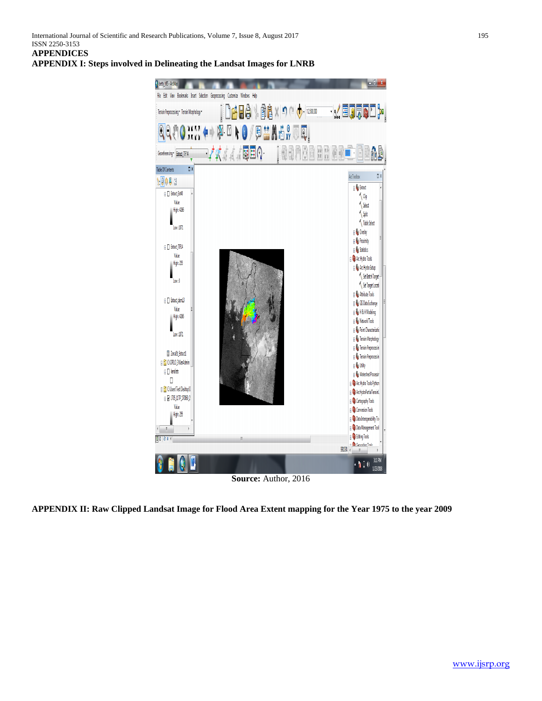**APPENDIX I: Steps involved in Delineating the Landsat Images for LNRB**



**APPENDIX II: Raw Clipped Landsat Image for Flood Area Extent mapping for the Year 1975 to the year 2009**